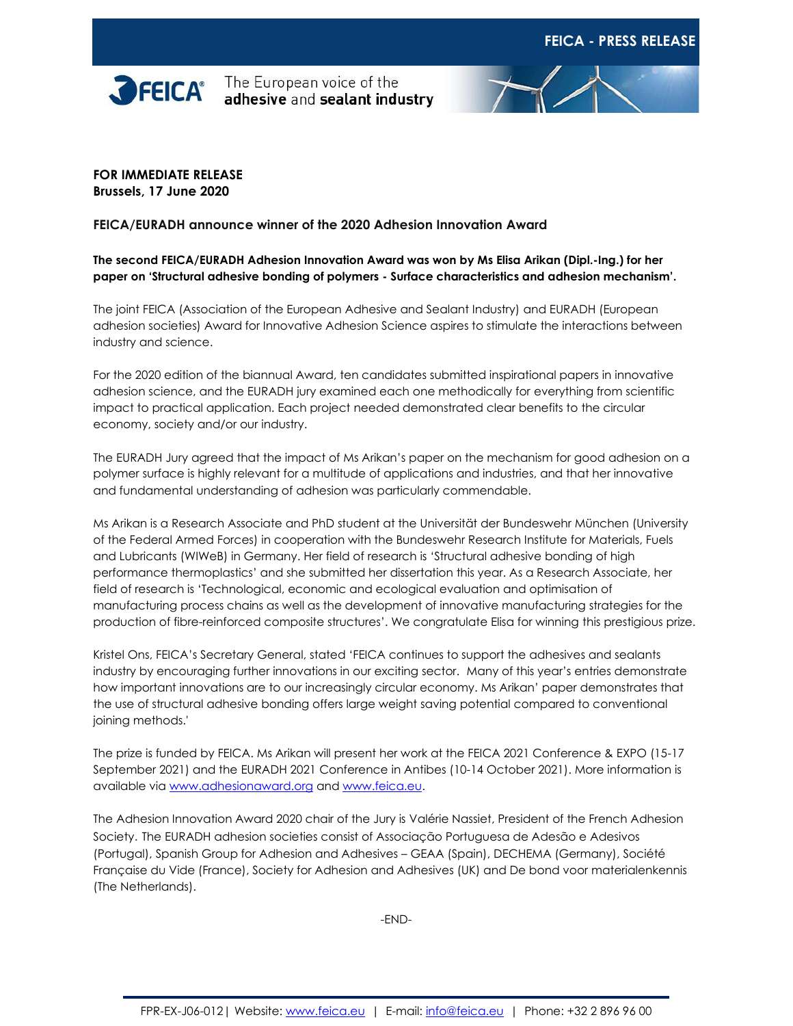



## **FOR IMMEDIATE RELEASE Brussels, 17 June 2020**

## **FEICA/EURADH announce winner of the 2020 Adhesion Innovation Award**

## **The second FEICA/EURADH Adhesion Innovation Award was won by Ms Elisa Arikan (Dipl.-Ing.) for her paper on 'Structural adhesive bonding of polymers - Surface characteristics and adhesion mechanism'.**

The joint FEICA (Association of the European Adhesive and Sealant Industry) and EURADH (European adhesion societies) Award for Innovative Adhesion Science aspires to stimulate the interactions between industry and science.

For the 2020 edition of the biannual Award, ten candidates submitted inspirational papers in innovative adhesion science, and the EURADH jury examined each one methodically for everything from scientific impact to practical application. Each project needed demonstrated clear benefits to the circular economy, society and/or our industry.

The EURADH Jury agreed that the impact of Ms Arikan's paper on the mechanism for good adhesion on a polymer surface is highly relevant for a multitude of applications and industries, and that her innovative and fundamental understanding of adhesion was particularly commendable.

Ms Arikan is a Research Associate and PhD student at the Universität der Bundeswehr München (University of the Federal Armed Forces) in cooperation with the Bundeswehr Research Institute for Materials, Fuels and Lubricants (WIWeB) in Germany. Her field of research is 'Structural adhesive bonding of high performance thermoplastics' and she submitted her dissertation this year. As a Research Associate, her field of research is 'Technological, economic and ecological evaluation and optimisation of manufacturing process chains as well as the development of innovative manufacturing strategies for the production of fibre-reinforced composite structures'. We congratulate Elisa for winning this prestigious prize.

Kristel Ons, FEICA's Secretary General, stated 'FEICA continues to support the adhesives and sealants industry by encouraging further innovations in our exciting sector. Many of this year's entries demonstrate how important innovations are to our increasingly circular economy. Ms Arikan' paper demonstrates that the use of structural adhesive bonding offers large weight saving potential compared to conventional joining methods.'

The prize is funded by FEICA. Ms Arikan will present her work at the FEICA 2021 Conference & EXPO (15-17 September 2021) and the EURADH 2021 Conference in Antibes (10-14 October 2021). More information is available vi[a www.adhesionaward.org](file:///C:/Users/Isabelle%20Alenus/AppData/Local/Microsoft/Windows/INetCache/Content.Outlook/2K46AEEH/www.adhesionaward.org) an[d www.feica.eu.](https://www.feica.eu/our-priorities/innovation)

The Adhesion Innovation Award 2020 chair of the Jury is Valérie Nassiet, President of the French Adhesion Society. The EURADH adhesion societies consist of Associação Portuguesa de Adesão e Adesivos (Portugal), Spanish Group for Adhesion and Adhesives – GEAA (Spain), DECHEMA (Germany), Société Française du Vide (France), Society for Adhesion and Adhesives (UK) and De bond voor materialenkennis (The Netherlands).

-END-